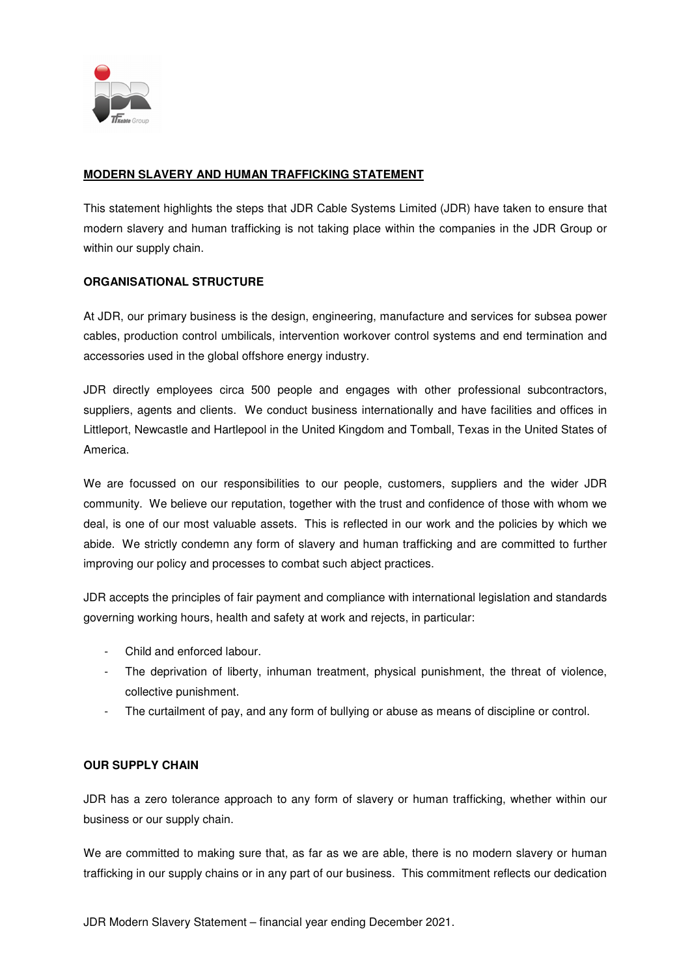

# **MODERN SLAVERY AND HUMAN TRAFFICKING STATEMENT**

This statement highlights the steps that JDR Cable Systems Limited (JDR) have taken to ensure that modern slavery and human trafficking is not taking place within the companies in the JDR Group or within our supply chain.

### **ORGANISATIONAL STRUCTURE**

At JDR, our primary business is the design, engineering, manufacture and services for subsea power cables, production control umbilicals, intervention workover control systems and end termination and accessories used in the global offshore energy industry.

JDR directly employees circa 500 people and engages with other professional subcontractors, suppliers, agents and clients. We conduct business internationally and have facilities and offices in Littleport, Newcastle and Hartlepool in the United Kingdom and Tomball, Texas in the United States of America.

We are focussed on our responsibilities to our people, customers, suppliers and the wider JDR community. We believe our reputation, together with the trust and confidence of those with whom we deal, is one of our most valuable assets. This is reflected in our work and the policies by which we abide. We strictly condemn any form of slavery and human trafficking and are committed to further improving our policy and processes to combat such abject practices.

JDR accepts the principles of fair payment and compliance with international legislation and standards governing working hours, health and safety at work and rejects, in particular:

- Child and enforced labour.
- The deprivation of liberty, inhuman treatment, physical punishment, the threat of violence, collective punishment.
- The curtailment of pay, and any form of bullying or abuse as means of discipline or control.

#### **OUR SUPPLY CHAIN**

JDR has a zero tolerance approach to any form of slavery or human trafficking, whether within our business or our supply chain.

We are committed to making sure that, as far as we are able, there is no modern slavery or human trafficking in our supply chains or in any part of our business. This commitment reflects our dedication

JDR Modern Slavery Statement – financial year ending December 2021.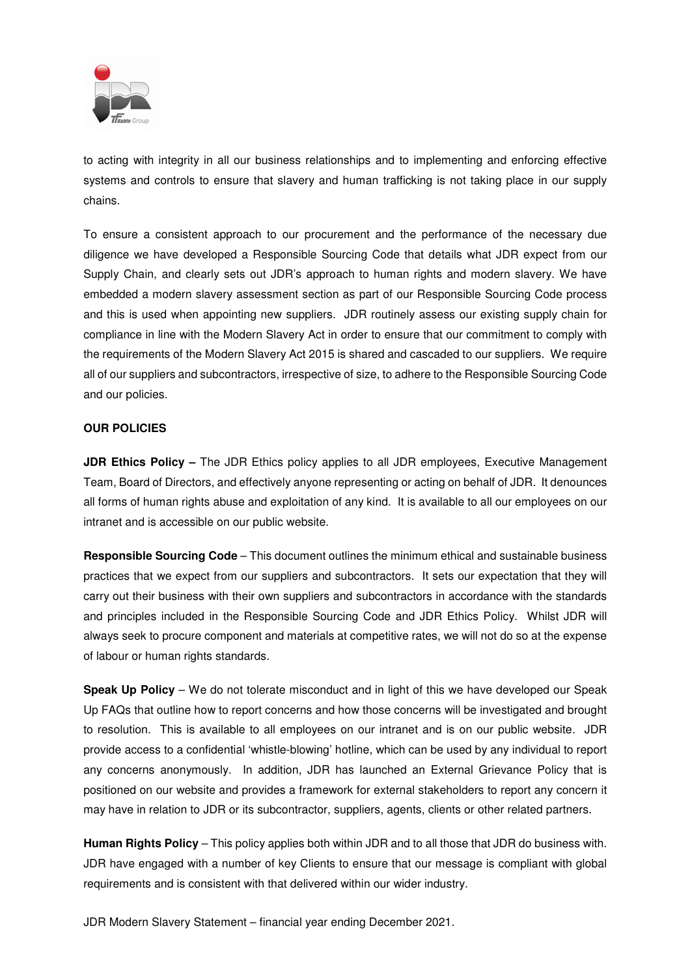

to acting with integrity in all our business relationships and to implementing and enforcing effective systems and controls to ensure that slavery and human trafficking is not taking place in our supply chains.

To ensure a consistent approach to our procurement and the performance of the necessary due diligence we have developed a Responsible Sourcing Code that details what JDR expect from our Supply Chain, and clearly sets out JDR's approach to human rights and modern slavery. We have embedded a modern slavery assessment section as part of our Responsible Sourcing Code process and this is used when appointing new suppliers. JDR routinely assess our existing supply chain for compliance in line with the Modern Slavery Act in order to ensure that our commitment to comply with the requirements of the Modern Slavery Act 2015 is shared and cascaded to our suppliers. We require all of our suppliers and subcontractors, irrespective of size, to adhere to the Responsible Sourcing Code and our policies.

### **OUR POLICIES**

**JDR Ethics Policy –** The JDR Ethics policy applies to all JDR employees, Executive Management Team, Board of Directors, and effectively anyone representing or acting on behalf of JDR. It denounces all forms of human rights abuse and exploitation of any kind. It is available to all our employees on our intranet and is accessible on our public website.

**Responsible Sourcing Code** – This document outlines the minimum ethical and sustainable business practices that we expect from our suppliers and subcontractors. It sets our expectation that they will carry out their business with their own suppliers and subcontractors in accordance with the standards and principles included in the Responsible Sourcing Code and JDR Ethics Policy. Whilst JDR will always seek to procure component and materials at competitive rates, we will not do so at the expense of labour or human rights standards.

**Speak Up Policy** – We do not tolerate misconduct and in light of this we have developed our Speak Up FAQs that outline how to report concerns and how those concerns will be investigated and brought to resolution. This is available to all employees on our intranet and is on our public website. JDR provide access to a confidential 'whistle-blowing' hotline, which can be used by any individual to report any concerns anonymously. In addition, JDR has launched an External Grievance Policy that is positioned on our website and provides a framework for external stakeholders to report any concern it may have in relation to JDR or its subcontractor, suppliers, agents, clients or other related partners.

**Human Rights Policy** – This policy applies both within JDR and to all those that JDR do business with. JDR have engaged with a number of key Clients to ensure that our message is compliant with global requirements and is consistent with that delivered within our wider industry.

JDR Modern Slavery Statement – financial year ending December 2021.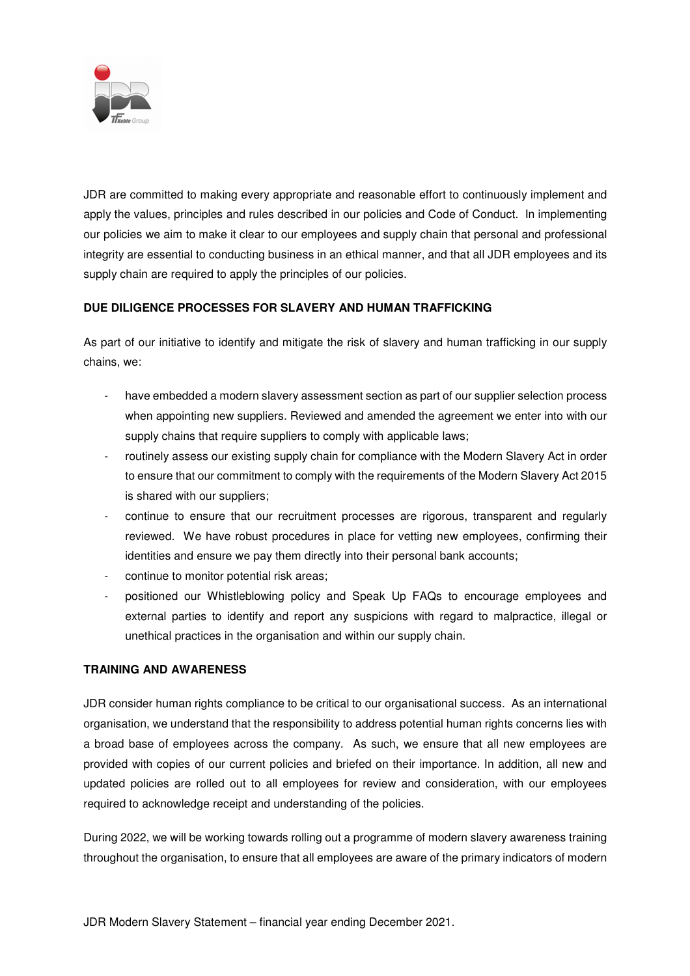

JDR are committed to making every appropriate and reasonable effort to continuously implement and apply the values, principles and rules described in our policies and Code of Conduct. In implementing our policies we aim to make it clear to our employees and supply chain that personal and professional integrity are essential to conducting business in an ethical manner, and that all JDR employees and its supply chain are required to apply the principles of our policies.

# **DUE DILIGENCE PROCESSES FOR SLAVERY AND HUMAN TRAFFICKING**

As part of our initiative to identify and mitigate the risk of slavery and human trafficking in our supply chains, we:

- have embedded a modern slavery assessment section as part of our supplier selection process when appointing new suppliers. Reviewed and amended the agreement we enter into with our supply chains that require suppliers to comply with applicable laws;
- routinely assess our existing supply chain for compliance with the Modern Slavery Act in order to ensure that our commitment to comply with the requirements of the Modern Slavery Act 2015 is shared with our suppliers;
- continue to ensure that our recruitment processes are rigorous, transparent and regularly reviewed. We have robust procedures in place for vetting new employees, confirming their identities and ensure we pay them directly into their personal bank accounts;
- continue to monitor potential risk areas;
- positioned our Whistleblowing policy and Speak Up FAQs to encourage employees and external parties to identify and report any suspicions with regard to malpractice, illegal or unethical practices in the organisation and within our supply chain.

# **TRAINING AND AWARENESS**

JDR consider human rights compliance to be critical to our organisational success. As an international organisation, we understand that the responsibility to address potential human rights concerns lies with a broad base of employees across the company. As such, we ensure that all new employees are provided with copies of our current policies and briefed on their importance. In addition, all new and updated policies are rolled out to all employees for review and consideration, with our employees required to acknowledge receipt and understanding of the policies.

During 2022, we will be working towards rolling out a programme of modern slavery awareness training throughout the organisation, to ensure that all employees are aware of the primary indicators of modern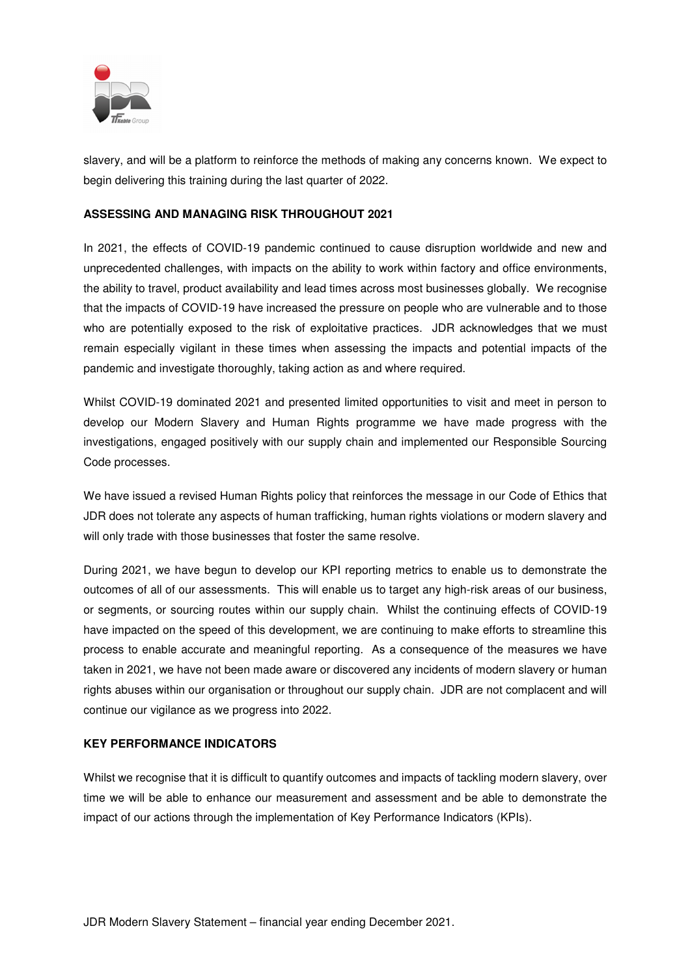

slavery, and will be a platform to reinforce the methods of making any concerns known. We expect to begin delivering this training during the last quarter of 2022.

### **ASSESSING AND MANAGING RISK THROUGHOUT 2021**

In 2021, the effects of COVID-19 pandemic continued to cause disruption worldwide and new and unprecedented challenges, with impacts on the ability to work within factory and office environments, the ability to travel, product availability and lead times across most businesses globally. We recognise that the impacts of COVID-19 have increased the pressure on people who are vulnerable and to those who are potentially exposed to the risk of exploitative practices. JDR acknowledges that we must remain especially vigilant in these times when assessing the impacts and potential impacts of the pandemic and investigate thoroughly, taking action as and where required.

Whilst COVID-19 dominated 2021 and presented limited opportunities to visit and meet in person to develop our Modern Slavery and Human Rights programme we have made progress with the investigations, engaged positively with our supply chain and implemented our Responsible Sourcing Code processes.

We have issued a revised Human Rights policy that reinforces the message in our Code of Ethics that JDR does not tolerate any aspects of human trafficking, human rights violations or modern slavery and will only trade with those businesses that foster the same resolve.

During 2021, we have begun to develop our KPI reporting metrics to enable us to demonstrate the outcomes of all of our assessments. This will enable us to target any high-risk areas of our business, or segments, or sourcing routes within our supply chain. Whilst the continuing effects of COVID-19 have impacted on the speed of this development, we are continuing to make efforts to streamline this process to enable accurate and meaningful reporting. As a consequence of the measures we have taken in 2021, we have not been made aware or discovered any incidents of modern slavery or human rights abuses within our organisation or throughout our supply chain. JDR are not complacent and will continue our vigilance as we progress into 2022.

#### **KEY PERFORMANCE INDICATORS**

Whilst we recognise that it is difficult to quantify outcomes and impacts of tackling modern slavery, over time we will be able to enhance our measurement and assessment and be able to demonstrate the impact of our actions through the implementation of Key Performance Indicators (KPIs).